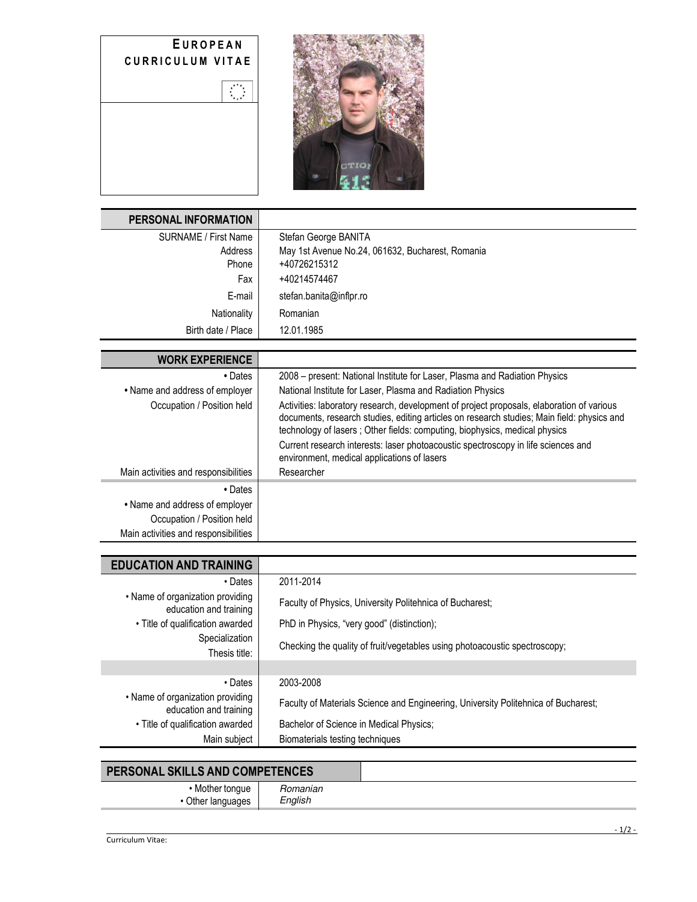|                         |  | EUROPEAN |  |
|-------------------------|--|----------|--|
| <b>CURRICULUM VITAE</b> |  |          |  |

 $\sum_{i=1}^{n}$ 



| <b>PERSONAL INFORMATION</b>                                |                                                                                                                                                                                         |
|------------------------------------------------------------|-----------------------------------------------------------------------------------------------------------------------------------------------------------------------------------------|
| <b>SURNAME / First Name</b>                                | Stefan George BANITA                                                                                                                                                                    |
| Address<br>Phone                                           | May 1st Avenue No.24, 061632, Bucharest, Romania<br>+40726215312                                                                                                                        |
| Fax                                                        | +40214574467                                                                                                                                                                            |
| E-mail                                                     | stefan.banita@inflpr.ro                                                                                                                                                                 |
| Nationality                                                | Romanian                                                                                                                                                                                |
| Birth date / Place                                         | 12.01.1985                                                                                                                                                                              |
|                                                            |                                                                                                                                                                                         |
| <b>WORK EXPERIENCE</b>                                     |                                                                                                                                                                                         |
| • Dates                                                    | 2008 - present: National Institute for Laser, Plasma and Radiation Physics                                                                                                              |
| • Name and address of employer                             | National Institute for Laser, Plasma and Radiation Physics                                                                                                                              |
| Occupation / Position held                                 | Activities: laboratory research, development of project proposals, elaboration of various<br>documents, research studies, editing articles on research studies; Main field: physics and |
|                                                            | technology of lasers; Other fields: computing, biophysics, medical physics                                                                                                              |
|                                                            | Current research interests: laser photoacoustic spectroscopy in life sciences and<br>environment, medical applications of lasers                                                        |
| Main activities and responsibilities                       | Researcher                                                                                                                                                                              |
| • Dates                                                    |                                                                                                                                                                                         |
| • Name and address of employer                             |                                                                                                                                                                                         |
| Occupation / Position held                                 |                                                                                                                                                                                         |
| Main activities and responsibilities                       |                                                                                                                                                                                         |
|                                                            |                                                                                                                                                                                         |
| <b>EDUCATION AND TRAINING</b>                              |                                                                                                                                                                                         |
| • Dates                                                    | 2011-2014                                                                                                                                                                               |
| • Name of organization providing<br>education and training | Faculty of Physics, University Politehnica of Bucharest;                                                                                                                                |
| · Title of qualification awarded                           | PhD in Physics, "very good" (distinction);                                                                                                                                              |
| Specialization<br>Thesis title:                            | Checking the quality of fruit/vegetables using photoacoustic spectroscopy;                                                                                                              |
|                                                            |                                                                                                                                                                                         |

• Dates 2003-2008

Faculty of Materials Science and Engineering, University Politehnica of Bucharest;

• Title of qualification awarded | Bachelor of Science in Medical Physics;

Main subject | Biomaterials testing techniques

## **PERSONAL SKILLS AND COMPETENCES**

• Name of organization providing

| tongue<br><b>IVI</b> | - - - - - -<br>namar<br>״                 |  |
|----------------------|-------------------------------------------|--|
| $$ $108$<br>m<br>. . | $\cdot$<br>_<br>$\sim$<br>αlls.<br>$\sim$ |  |
|                      |                                           |  |